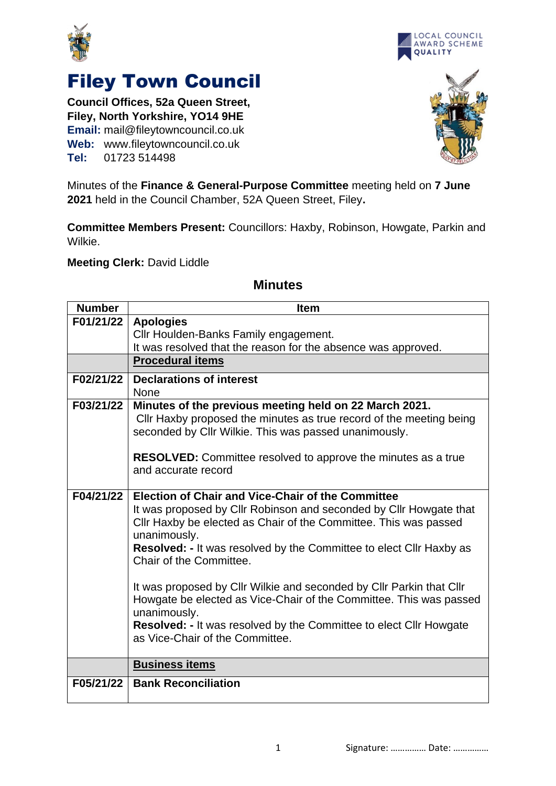



## Filey Town Council

**Council Offices, 52a Queen Street, Filey, North Yorkshire, YO14 9HE Email:** mail@fileytowncouncil.co.uk **Web:** www.fileytowncouncil.co.uk **Tel:** 01723 514498



Minutes of the **Finance & General-Purpose Committee** meeting held on **7 June 2021** held in the Council Chamber, 52A Queen Street, Filey**.**

**Committee Members Present:** Councillors: Haxby, Robinson, Howgate, Parkin and Wilkie.

**Meeting Clerk:** David Liddle

| <b>Number</b> | <b>Item</b>                                                                                                                                                                                                                                                                                                                                                                                                                                                                                                                                                                                        |
|---------------|----------------------------------------------------------------------------------------------------------------------------------------------------------------------------------------------------------------------------------------------------------------------------------------------------------------------------------------------------------------------------------------------------------------------------------------------------------------------------------------------------------------------------------------------------------------------------------------------------|
| F01/21/22     | <b>Apologies</b>                                                                                                                                                                                                                                                                                                                                                                                                                                                                                                                                                                                   |
|               | Cllr Houlden-Banks Family engagement.                                                                                                                                                                                                                                                                                                                                                                                                                                                                                                                                                              |
|               | It was resolved that the reason for the absence was approved.                                                                                                                                                                                                                                                                                                                                                                                                                                                                                                                                      |
|               | <b>Procedural items</b>                                                                                                                                                                                                                                                                                                                                                                                                                                                                                                                                                                            |
| F02/21/22     | <b>Declarations of interest</b><br><b>None</b>                                                                                                                                                                                                                                                                                                                                                                                                                                                                                                                                                     |
| F03/21/22     | Minutes of the previous meeting held on 22 March 2021.<br>Cllr Haxby proposed the minutes as true record of the meeting being<br>seconded by Cllr Wilkie. This was passed unanimously.<br><b>RESOLVED:</b> Committee resolved to approve the minutes as a true<br>and accurate record                                                                                                                                                                                                                                                                                                              |
| F04/21/22     | Election of Chair and Vice-Chair of the Committee<br>It was proposed by Cllr Robinson and seconded by Cllr Howgate that<br>Cllr Haxby be elected as Chair of the Committee. This was passed<br>unanimously.<br><b>Resolved: - It was resolved by the Committee to elect Cllr Haxby as</b><br>Chair of the Committee.<br>It was proposed by Cllr Wilkie and seconded by Cllr Parkin that Cllr<br>Howgate be elected as Vice-Chair of the Committee. This was passed<br>unanimously.<br><b>Resolved: - It was resolved by the Committee to elect Cllr Howgate</b><br>as Vice-Chair of the Committee. |
|               | <b>Business items</b>                                                                                                                                                                                                                                                                                                                                                                                                                                                                                                                                                                              |
| F05/21/22     | <b>Bank Reconciliation</b>                                                                                                                                                                                                                                                                                                                                                                                                                                                                                                                                                                         |

## **Minutes**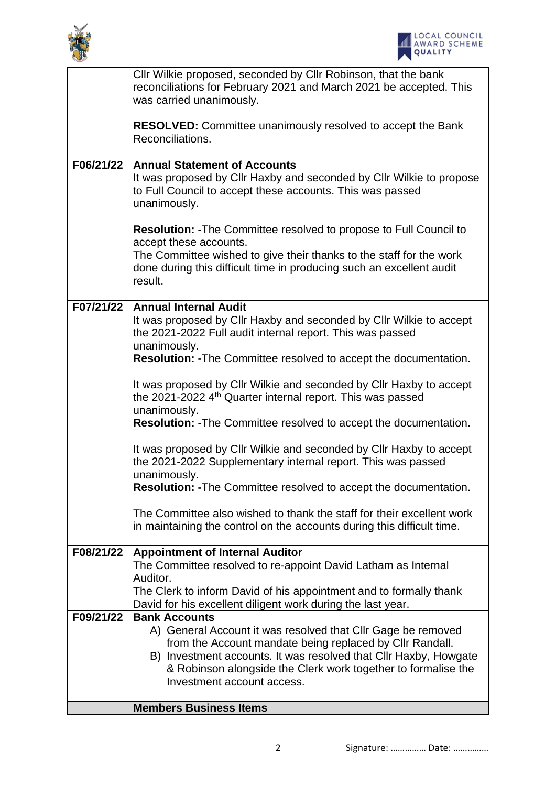



|           | Cllr Wilkie proposed, seconded by Cllr Robinson, that the bank<br>reconciliations for February 2021 and March 2021 be accepted. This<br>was carried unanimously.                                                                                              |
|-----------|---------------------------------------------------------------------------------------------------------------------------------------------------------------------------------------------------------------------------------------------------------------|
|           | <b>RESOLVED:</b> Committee unanimously resolved to accept the Bank<br>Reconciliations.                                                                                                                                                                        |
| F06/21/22 | <b>Annual Statement of Accounts</b><br>It was proposed by Cllr Haxby and seconded by Cllr Wilkie to propose<br>to Full Council to accept these accounts. This was passed<br>unanimously.                                                                      |
|           | <b>Resolution: - The Committee resolved to propose to Full Council to</b><br>accept these accounts.<br>The Committee wished to give their thanks to the staff for the work<br>done during this difficult time in producing such an excellent audit<br>result. |
|           | F07/21/22   Annual Internal Audit<br>It was proposed by CIIr Haxby and seconded by CIIr Wilkie to accept<br>the 2021-2022 Full audit internal report. This was passed<br>unanimously.                                                                         |
|           | <b>Resolution: - The Committee resolved to accept the documentation.</b>                                                                                                                                                                                      |
|           | It was proposed by Cllr Wilkie and seconded by Cllr Haxby to accept<br>the 2021-2022 4 <sup>th</sup> Quarter internal report. This was passed<br>unanimously.                                                                                                 |
|           | <b>Resolution: - The Committee resolved to accept the documentation.</b>                                                                                                                                                                                      |
|           | It was proposed by Cllr Wilkie and seconded by Cllr Haxby to accept<br>the 2021-2022 Supplementary internal report. This was passed<br>unanimously.                                                                                                           |
|           | Resolution: - The Committee resolved to accept the documentation.                                                                                                                                                                                             |
|           | The Committee also wished to thank the staff for their excellent work<br>in maintaining the control on the accounts during this difficult time.                                                                                                               |
| F08/21/22 | <b>Appointment of Internal Auditor</b><br>The Committee resolved to re-appoint David Latham as Internal                                                                                                                                                       |
|           | Auditor.                                                                                                                                                                                                                                                      |
|           | The Clerk to inform David of his appointment and to formally thank<br>David for his excellent diligent work during the last year.                                                                                                                             |
| F09/21/22 | <b>Bank Accounts</b>                                                                                                                                                                                                                                          |
|           | A) General Account it was resolved that Cllr Gage be removed                                                                                                                                                                                                  |
|           | from the Account mandate being replaced by Cllr Randall.<br>B) Investment accounts. It was resolved that CIIr Haxby, Howgate<br>& Robinson alongside the Clerk work together to formalise the<br>Investment account access.                                   |
|           |                                                                                                                                                                                                                                                               |
|           | <b>Members Business Items</b>                                                                                                                                                                                                                                 |